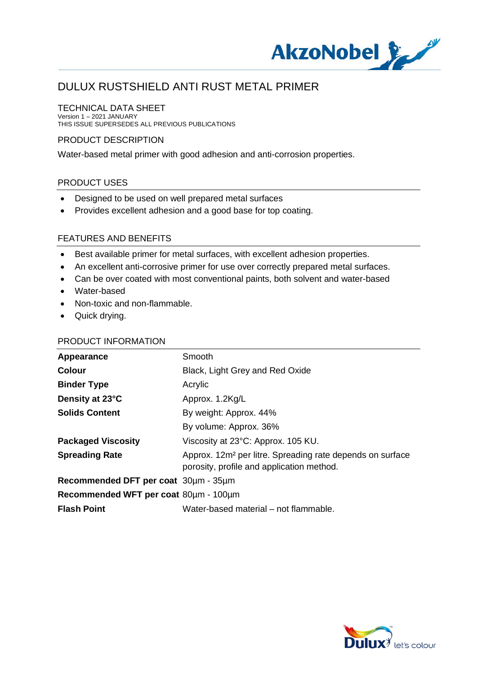

### TECHNICAL DATA SHEET

Version 1 – 2021 JANUARY THIS ISSUE SUPERSEDES ALL PREVIOUS PUBLICATIONS

#### PRODUCT DESCRIPTION

Water-based metal primer with good adhesion and anti-corrosion properties.

#### PRODUCT USES

- · Designed to be used on well prepared metal surfaces
- · Provides excellent adhesion and a good base for top coating.

#### FEATURES AND BENEFITS

- · Best available primer for metal surfaces, with excellent adhesion properties.
- · An excellent anti-corrosive primer for use over correctly prepared metal surfaces.
- · Can be over coated with most conventional paints, both solvent and water-based
- · Water-based
- · Non-toxic and non-flammable.
- · Quick drying.

### PRODUCT INFORMATION

| Appearance                            | Smooth                                                                                                             |
|---------------------------------------|--------------------------------------------------------------------------------------------------------------------|
| <b>Colour</b>                         | Black, Light Grey and Red Oxide                                                                                    |
| <b>Binder Type</b>                    | Acrylic                                                                                                            |
| Density at 23°C                       | Approx. 1.2Kg/L                                                                                                    |
| <b>Solids Content</b>                 | By weight: Approx. 44%                                                                                             |
|                                       | By volume: Approx. 36%                                                                                             |
| <b>Packaged Viscosity</b>             | Viscosity at 23°C: Approx. 105 KU.                                                                                 |
| <b>Spreading Rate</b>                 | Approx. 12m <sup>2</sup> per litre. Spreading rate depends on surface<br>porosity, profile and application method. |
| Recommended DFT per coat 30um - 35um  |                                                                                                                    |
| Recommended WFT per coat 80um - 100um |                                                                                                                    |
| <b>Flash Point</b>                    | Water-based material – not flammable.                                                                              |

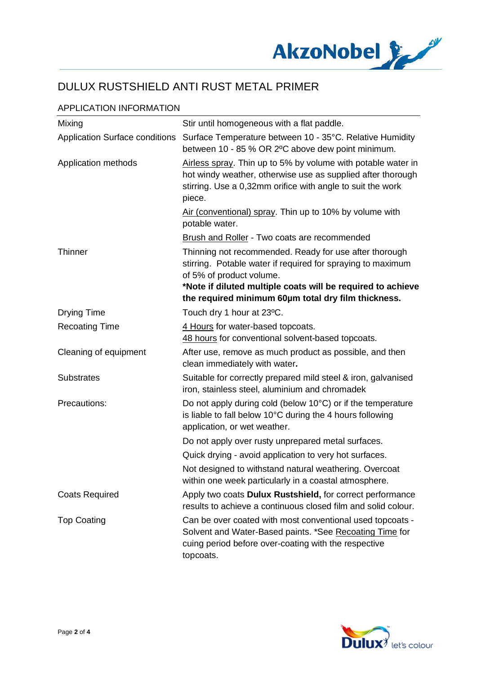

## APPLICATION INFORMATION

| Mixing                                | Stir until homogeneous with a flat paddle.                                                                                                                                                                       |
|---------------------------------------|------------------------------------------------------------------------------------------------------------------------------------------------------------------------------------------------------------------|
| <b>Application Surface conditions</b> | Surface Temperature between 10 - 35°C. Relative Humidity<br>between 10 - 85 % OR 2°C above dew point minimum.                                                                                                    |
| Application methods                   | Airless spray. Thin up to 5% by volume with potable water in<br>hot windy weather, otherwise use as supplied after thorough<br>stirring. Use a 0,32mm orifice with angle to suit the work<br>piece.              |
|                                       | Air (conventional) spray. Thin up to 10% by volume with<br>potable water.                                                                                                                                        |
|                                       | <b>Brush and Roller - Two coats are recommended</b>                                                                                                                                                              |
| <b>Thinner</b>                        | Thinning not recommended. Ready for use after thorough<br>stirring. Potable water if required for spraying to maximum<br>of 5% of product volume.<br>*Note if diluted multiple coats will be required to achieve |
|                                       | the required minimum 60um total dry film thickness.                                                                                                                                                              |
| <b>Drying Time</b>                    | Touch dry 1 hour at 23°C.                                                                                                                                                                                        |
| <b>Recoating Time</b>                 | 4 Hours for water-based topcoats.<br>48 hours for conventional solvent-based topcoats.                                                                                                                           |
| Cleaning of equipment                 | After use, remove as much product as possible, and then<br>clean immediately with water.                                                                                                                         |
| <b>Substrates</b>                     | Suitable for correctly prepared mild steel & iron, galvanised<br>iron, stainless steel, aluminium and chromadek                                                                                                  |
| Precautions:                          | Do not apply during cold (below 10°C) or if the temperature<br>is liable to fall below 10°C during the 4 hours following<br>application, or wet weather.                                                         |
|                                       | Do not apply over rusty unprepared metal surfaces.                                                                                                                                                               |
|                                       | Quick drying - avoid application to very hot surfaces.                                                                                                                                                           |
|                                       | Not designed to withstand natural weathering. Overcoat<br>within one week particularly in a coastal atmosphere.                                                                                                  |
| <b>Coats Required</b>                 | Apply two coats Dulux Rustshield, for correct performance<br>results to achieve a continuous closed film and solid colour.                                                                                       |
| <b>Top Coating</b>                    | Can be over coated with most conventional used topcoats -<br>Solvent and Water-Based paints. *See Recoating Time for<br>cuing period before over-coating with the respective<br>topcoats.                        |

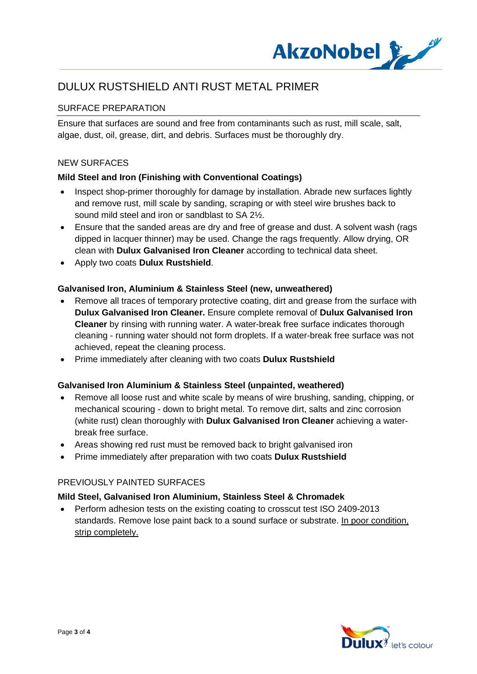

## SURFACE PREPARATION

Ensure that surfaces are sound and free from contaminants such as rust, mill scale, salt, algae, dust, oil, grease, dirt, and debris. Surfaces must be thoroughly dry.

#### NEW SURFACES

### **Mild Steel and Iron (Finishing with Conventional Coatings)**

- Inspect shop-primer thoroughly for damage by installation. Abrade new surfaces lightly and remove rust, mill scale by sanding, scraping or with steel wire brushes back to sound mild steel and iron or sandblast to SA 2½.
- Ensure that the sanded areas are dry and free of grease and dust. A solvent wash (rags dipped in lacquer thinner) may be used. Change the rags frequently. Allow drying, OR clean with **Dulux Galvanised Iron Cleaner** according to technical data sheet.
- · Apply two coats **Dulux Rustshield**.

#### **Galvanised Iron, Aluminium & Stainless Steel (new, unweathered)**

- · Remove all traces of temporary protective coating, dirt and grease from the surface with **Dulux Galvanised Iron Cleaner.** Ensure complete removal of **Dulux Galvanised Iron Cleaner** by rinsing with running water. A water-break free surface indicates thorough cleaning - running water should not form droplets. If a water-break free surface was not achieved, repeat the cleaning process.
- · Prime immediately after cleaning with two coats **Dulux Rustshield**

#### **Galvanised Iron Aluminium & Stainless Steel (unpainted, weathered)**

- · Remove all loose rust and white scale by means of wire brushing, sanding, chipping, or mechanical scouring - down to bright metal. To remove dirt, salts and zinc corrosion (white rust) clean thoroughly with **Dulux Galvanised Iron Cleaner** achieving a waterbreak free surface.
- · Areas showing red rust must be removed back to bright galvanised iron
- · Prime immediately after preparation with two coats **Dulux Rustshield**

#### PREVIOUSLY PAINTED SURFACES

#### **Mild Steel, Galvanised Iron Aluminium, Stainless Steel & Chromadek**

· Perform adhesion tests on the existing coating to crosscut test ISO 2409-2013 standards. Remove lose paint back to a sound surface or substrate. In poor condition, strip completely.